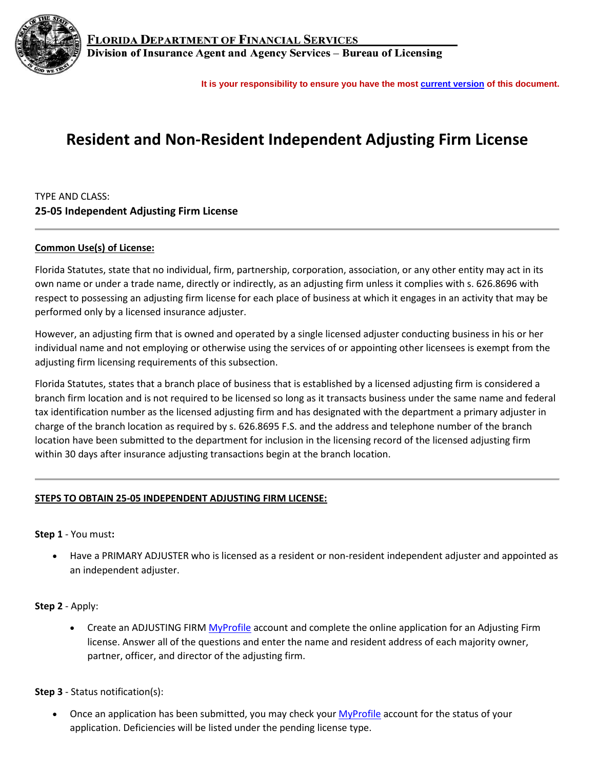

**FLORIDA DEPARTMENT OF FINANCIAL SERVICES** Division of Insurance Agent and Agency Services - Bureau of Licensing

**It is your responsibility to ensure you have the most [current version](https://myfloridacfo.com/division/agents/licensing/agencies-firms/qualifications) of this document.**

# **Resident and Non-Resident Independent Adjusting Firm License**

## TYPE AND CLASS: **25-05 Independent Adjusting Firm License**

#### **Common Use(s) of License:**

Florida Statutes, state that no individual, firm, partnership, corporation, association, or any other entity may act in its own name or under a trade name, directly or indirectly, as an adjusting firm unless it complies with s. 626.8696 with respect to possessing an adjusting firm license for each place of business at which it engages in an activity that may be performed only by a licensed insurance adjuster.

However, an adjusting firm that is owned and operated by a single licensed adjuster conducting business in his or her individual name and not employing or otherwise using the services of or appointing other licensees is exempt from the adjusting firm licensing requirements of this subsection.

Florida Statutes, states that a branch place of business that is established by a licensed adjusting firm is considered a branch firm location and is not required to be licensed so long as it transacts business under the same name and federal tax identification number as the licensed adjusting firm and has designated with the department a primary adjuster in charge of the branch location as required by s. 626.8695 F.S. and the address and telephone number of the branch location have been submitted to the department for inclusion in the licensing record of the licensed adjusting firm within 30 days after insurance adjusting transactions begin at the branch location.

#### **STEPS TO OBTAIN 25-05 INDEPENDENT ADJUSTING FIRM LICENSE:**

#### **Step 1** - You must**:**

• Have a PRIMARY ADJUSTER who is licensed as a resident or non-resident independent adjuster and appointed as an independent adjuster.

#### **Step 2** - Apply:

• Create an ADJUSTING FIR[M MyProfile](https://dice.fldfs.com/public/pb_index.aspx) account and complete the online application for an Adjusting Firm license. Answer all of the questions and enter the name and resident address of each majority owner, partner, officer, and director of the adjusting firm.

#### **Step 3** - Status notification(s):

• Once an application has been submitted, you may check you[r MyProfile](https://dice.fldfs.com/public/pb_index.aspx) account for the status of your application. Deficiencies will be listed under the pending license type.